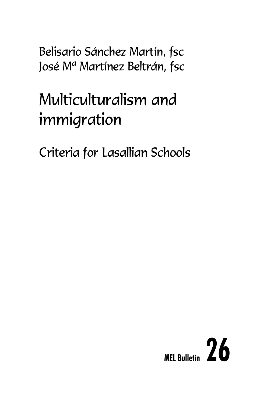Belisario Sánchez Martín, fsc José M<sup>a</sup> Martínez Beltrán, fsc

# Multiculturalism and immigration

Criteria for Lasallian Schools

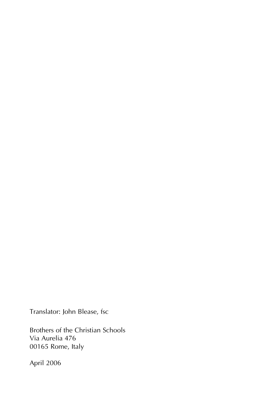Translator: John Blease, fsc

Brothers of the Christian Schools Via Aurelia 476 00165 Rome, Italy

April 2006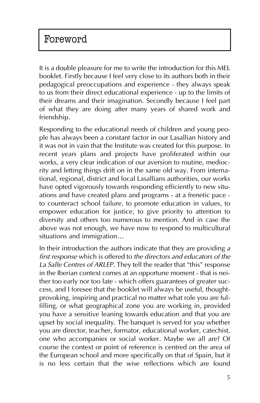It is a double pleasure for me to write the introduction for this MEL booklet. Firstly because I feel very close to its authors both in their pedagogical preoccupations and experience - they always speak to us from their direct educational experience - up to the limits of their dreams and their imagination. Secondly because I feel part of what they are doing after many years of shared work and friendship.

Responding to the educational needs of children and young people has always been a constant factor in our Lasallian history and it was not in vain that the Institute was created for this purpose. In recent years plans and projects have proliferated within our works, a very clear indication of our aversion to routine, mediocrity and letting things drift on in the same old way. From international, regional, district and local Lasallians authorities, our works have opted vigorously towards responding efficiently to new situations and have created plans and programs - at a frenetic pace to counteract school failure, to promote education in values, to empower education for justice, to give priority to attention to diversity and others too numerous to mention. And in case the above was not enough, we have now to respond to multicultural situations and immigration...

In their introduction the authors indicate that they are providing *a first response* which is offered to *the directors and educators of the* La Salle Centres of ARLEP. They tell the reader that "this" response in the Iberian context comes at an opportune moment - that is neither too early nor too late - which offers guarantees of greater success, and I foresee that the booklet will always be useful, thoughtprovoking, inspiring and practical no matter what role you are fulfilling, or what geographical zone you are working in, provided you have a sensitive leaning towards education and that you are upset by social inequality. The banquet is served for you whether you are director, teacher, formator, educational worker, catechist, one who accompanies or social worker. Maybe we all are? Of course the context or point of reference is centred on the area of the European school and more specifically on that of Spain, but it is no less certain that the wise reflections which are found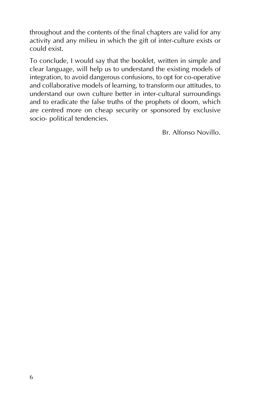throughout and the contents of the final chapters are valid for any activity and any milieu in which the gift of inter-culture exists or could exist.

To conclude, I would say that the booklet, written in simple and clear language, will help us to understand the existing models of integration, to avoid dangerous confusions, to opt for co-operative and collaborative models of learning, to transform our attitudes, to understand our own culture better in inter-cultural surroundings and to eradicate the false truths of the prophets of doom, which are centred more on cheap security or sponsored by exclusive socio- political tendencies.

Br. Alfonso Novillo.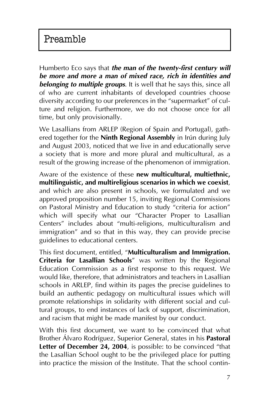Humberto Eco says that *the man of the twenty-first century will be more and more a man of mixed race, rich in identities and belonging to multiple groups*. It is well that he says this, since all of who are current inhabitants of developed countries choose diversity according to our preferences in the "supermarket" of culture and religion. Furthermore, we do not choose once for all time, but only provisionally.

We Lasallians from ARLEP (Region of Spain and Portugal), gathered together for the **Ninth Regional Assembly** in Irún during July and August 2003, noticed that we live in and educationally serve a society that is more and more plural and multicultural, as a result of the growing increase of the phenomenon of immigration.

Aware of the existence of these **new multicultural, multiethnic, multilinguistic, and multireligious scenarios in which we coexist**, and which are also present in schools, we formulated and we approved proposition number 15, inviting Regional Commissions on Pastoral Ministry and Education to study "criteria for action" which will specify what our "Character Proper to Lasallian Centers" includes about "multi-religions, multiculturalism and immigration" and so that in this way, they can provide precise guidelines to educational centers.

This first document, entitled, "Multiculturalism and Immigration. Criteria for Lasallian Schools<sup>"</sup> was written by the Regional Education Commission as a first response to this request. We would like, therefore, that administrators and teachers in Lasallian schools in ARLEP, find within its pages the precise guidelines to build an authentic pedagogy on multicultural issues which will promote relationships in solidarity with different social and cultural groups, to end instances of lack of support, discrimination, and racism that might be made manifest by our conduct.

With this first document, we want to be convinced that what Brother Álvaro Rodríguez, Superior General, states in his **Pastoral Letter of December 24, 2004**, is possible: to be convinced "that the Lasallian School ought to be the privileged place for putting into practice the mission of the Institute. That the school contin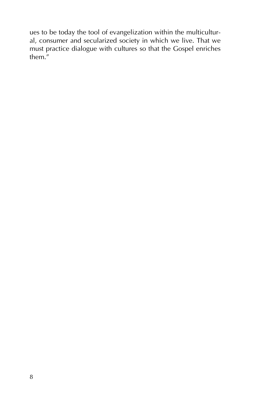ues to be today the tool of evangelization within the multicultural, consumer and secularized society in which we live. That we must practice dialogue with cultures so that the Gospel enriches them."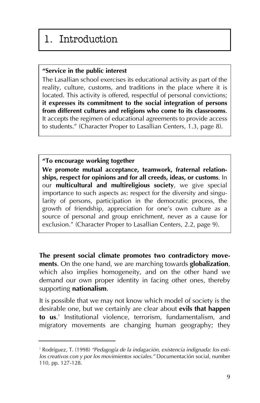# 1. Introduction

### **ìService in the public interest**

The Lasallian school exercises its educational activity as part of the reality, culture, customs, and traditions in the place where it is located. This activity is offered, respectful of personal convictions; **it expresses its commitment to the social integration of persons from different cultures and religions who come to its classrooms**. It accepts the regimen of educational agreements to provide access to students." (Character Proper to Lasallian Centers, 1.3, page 8).

### **ìTo encourage working together**

**We promote mutual acceptance, teamwork, fraternal relationships, respect for opinions and for all creeds, ideas, or customs**. In our **multicultural and multireligious society**, we give special importance to such aspects as: respect for the diversity and singularity of persons, participation in the democratic process, the growth of friendship, appreciation for one's own culture as a source of personal and group enrichment, never as a cause for exclusion." (Character Proper to Lasallian Centers, 2.2, page 9).

**The present social climate promotes two contradictory movements**. On the one hand, we are marching towards **globalization**, which also implies homogeneity, and on the other hand we demand our own proper identity in facing other ones, thereby supporting **nationalism**.

It is possible that we may not know which model of society is the desirable one, but we certainly are clear about **evils that happen to us**. <sup>1</sup> Institutional violence, terrorism, fundamentalism, and migratory movements are changing human geography; they

<sup>&</sup>lt;sup>1</sup> Rodríguez, T. (1998) "Pedagogía de la indagación, existencia indignada: los esti*los creativos con y por los movimientos sociales.*<sup>*"*</sup> Documentación social, number 110, pp. 127-128.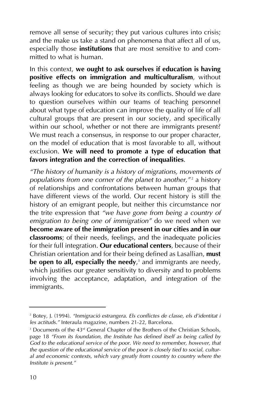remove all sense of security; they put various cultures into crisis; and the make us take a stand on phenomena that affect all of us, especially those **institutions** that are most sensitive to and committed to what is human.

In this context, **we ought to ask ourselves if education is having positive effects on immigration and multiculturalism**, without feeling as though we are being hounded by society which is always looking for educators to solve its conflicts. Should we dare to question ourselves within our teams of teaching personnel about what type of education can improve the quality of life of all cultural groups that are present in our society, and specifically within our school, whether or not there are immigrants present? We must reach a consensus, in response to our proper character, on the model of education that is most favorable to all, without exclusion. **We will need to promote a type of education that favors integration and the correction of inequalities**.

*ìThe history of humanity is a history of migrations, movements of populations from one corner of the planet to another,"<sup>2</sup> a history* of relationships and confrontations between human groups that have different views of the world. Our recent history is still the history of an emigrant people, but neither this circumstance nor the trite expression that *"we have gone from being a country of emigration to being one of immigrationî* do we need when we **become aware of the immigration present in our cities and in our classrooms**; of their needs, feelings, and the inadequate policies for their full integration. **Our educational centers**, because of their Christian orientation and for their being defined as Lasallian, **must be open to all, especially the needy**, <sup>3</sup> and immigrants are needy, which justifies our greater sensitivity to diversity and to problems involving the acceptance, adaptation, and integration of the immigrants.

<sup>&</sup>lt;sup>2</sup> Botey, J. (1994). "Inmigració estrangera. Els conflictes de classe, els d'identitat i les actituds." Interaula magazine, numbers 21-22, Barcelona.

<sup>&</sup>lt;sup>3</sup> Documents of the 43<sup>rd</sup> General Chapter of the Brothers of the Christian Schools, page 18 "From its foundation, the Institute has defined itself as being called by *God to the educational service of the poor. We need to remember, however, that the question of the educational service of the poor is closely tied to social, cultural and economic contexts, which vary greatly from country to country where the Institute is present.*<sup>*"*</sup>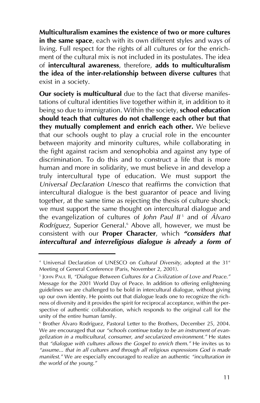**Multiculturalism examines the existence of two or more cultures in the same space**, each with its own different styles and ways of living. Full respect for the rights of all cultures or for the enrichment of the cultural mix is not included in its postulates. The idea of **intercultural awareness**, therefore, **adds to multiculturalism the idea of the inter-relationship between diverse cultures** that exist in a society.

**Our society is multicultural** due to the fact that diverse manifestations of cultural identities live together within it, in addition to it being so due to immigration. Within the society, **school education should teach that cultures do not challenge each other but that they mutually complement and enrich each other.** We believe that our schools ought to play a crucial role in the encounter between majority and minority cultures, while collaborating in the fight against racism and xenophobia and against any type of discrimination. To do this and to construct a life that is more human and more in solidarity, we must believe in and develop a truly intercultural type of education. We must support the *Universal Declaration Unesco* that reaffirms the conviction that intercultural dialogue is the best guarantor of peace and living together, at the same time as rejecting the thesis of culture shock; we must support the same thought on intercultural dialogue and the evangelization of cultures of *John Paul II* <sup>5</sup> and of *£lvaro Rodríguez*, Superior General.<sup>6</sup> Above all, however, we must be consistent with our **Proper Character**, which "considers that *intercultural and interreligious dialogue is already a form of*

<sup>&</sup>lt;sup>4</sup> Universal Declaration of UNESCO on *Cultural Diversity*, adopted at the 31<sup>st</sup> Meeting of General Conference (Paris, November 2, 2001).

<sup>&</sup>lt;sup>5</sup> JOHN PAUL II, "Dialogue Between Cultures for a Civilization of Love and Peace." Message for the 2001 World Day of Peace. In addition to offering enlightening guidelines we are challenged to be bold in intercultural dialogue, without giving up our own identity. He points out that dialogue leads one to recognize the richness of diversity and it provides the spirit for reciprocal acceptance, within the perspective of authentic collaboration, which responds to the original call for the unity of the entire human family.

<sup>&</sup>lt;sup>6</sup> Brother Álvaro Rodríguez, Pastoral Letter to the Brothers, December 25, 2004. We are encouraged that our "schools continue today to be an instrument of evan*gelization in a multicultural, consumer, and secularized environment.î* He states that "dialogue with cultures allows the Gospel to enrich them." He invites us to *ìassume... that in all cultures and through all religious expressions God is made manifest.*<sup>*"*</sup> We are especially encouraged to realize an authentic *"inculturation in* the world of the young.<sup>"</sup>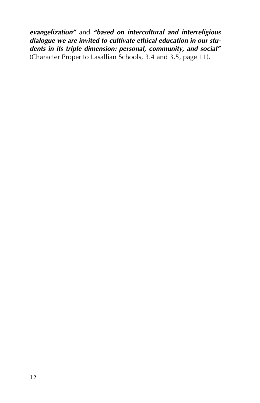*evangelization*<sup>*n*</sup> and *"based on intercultural and interreligious dialogue we are invited to cultivate ethical education in our stu*dents in its triple dimension: personal, community, and social" (Character Proper to Lasallian Schools, 3.4 and 3.5, page 11).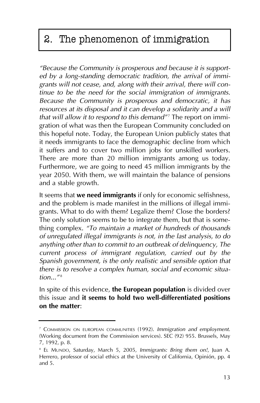# 2. The phenomenon of immigration

*ìBecause the Community is prosperous and because it is supported by a long-standing democratic tradition, the arrival of immigrants will not cease, and, along with their arrival, there will continue to be the need for the social immigration of immigrants. Because the Community is prosperous and democratic, it has resources at its disposal and it can develop a solidarity and a will that will allow it to respond to this demand<sup><i>n*7</sup> The report on immigration of what was then the European Community concluded on this hopeful note. Today, the European Union publicly states that it needs immigrants to face the demographic decline from which it suffers and to cover two million jobs for unskilled workers. There are more than 20 million immigrants among us today. Furthermore, we are going to need 45 million immigrants by the year 2050. With them, we will maintain the balance of pensions and a stable growth.

It seems that **we need immigrants** if only for economic selfishness, and the problem is made manifest in the millions of illegal immigrants. What to do with them? Legalize them? Close the borders? The only solution seems to be to integrate them, but that is something complex. *ìTo maintain a market of hundreds of thousands of unregulated illegal immigrants is not, in the last analysis, to do anything other than to commit to an outbreak of delinquency, The current process of immigrant regulation, carried out by the Spanish government, is the only realistic and sensible option that there is to resolve a complex human, social and economic situation...*"<sup>8</sup>

In spite of this evidence, **the European population** is divided over this issue and **it seems to hold two well-differentiated positions on the matter**:

<sup>7</sup> COMMISSION ON EUROPEAN COMMUNITIES (1992). *Immigration and employment*. (Working document from the Commission services). SEC (92) 955. Brussels, May 7, 1992, p. 8.

<sup>8</sup> EL MUNDO, Saturday, March 5, 2005, *Immigrants: Bring them on!*, Juan A. Herrero, professor of social ethics at the University of California, Opinión, pp. 4 and 5.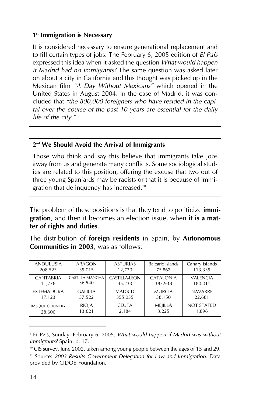### **1st Immigration is Necessary**

It is considered necessary to ensure generational replacement and to fill certain types of jobs. The February 6, 2005 edition of *El PaÌs* expressed this idea when it asked the question *What would happen if Madrid had no immigrants?* The same question was asked later on about a city in California and this thought was picked up in the Mexican film *ìA Day Without Mexicansî* which opened in the United States in August 2004. In the case of Madrid, it was concluded that *ìthe 800,000 foreigners who have resided in the capital over the course of the past 10 years are essential for the daily life of the city.*<sup>" 9</sup>

### **2nd We Should Avoid the Arrival of Immigrants**

Those who think and say this believe that immigrants take jobs away from us and generate many conflicts. Some sociological studies are related to this position, offering the excuse that two out of three young Spaniards may be racists or that it is because of immigration that delinquency has increased.10

The problem of these positions is that they tend to politicize **immigration**, and then it becomes an election issue, when **it is a matter of rights and duties**.

The distribution of **foreign residents** in Spain, by **Autonomous Communities in 2003**, was as follows:<sup>11</sup>

| <b>ANDULUSIA</b>      | ARAGON          | <b>ASTURIAS</b> | Balearic islands | Canary islands    |
|-----------------------|-----------------|-----------------|------------------|-------------------|
| 208,523               | 39.015          | 12.730          | 75,867           | 113,339           |
| <b>CANTABRIA</b>      | CAST.-LA MANCHA | CASTILLA-LEON   | <b>CATALONIA</b> | <b>VALENCIA</b>   |
| 11.778                | 36.540          | 45.233          | 383.938          | 180.011           |
| <b>EXTEMADURA</b>     | <b>GALICIA</b>  | <b>MADRID</b>   | <b>MURCIA</b>    | <b>NAVARRE</b>    |
| 17.123                | 37.522          | 355.035         | 58.150           | 22.681            |
| <b>BASQUE COUNTRY</b> | <b>RIOJA</b>    | <b>CEUTA</b>    | MEIILLA          | <b>NOT STATED</b> |
| 28.600                | 13.621          | 2.184           | 3.225            | 1.896             |

<sup>9</sup> EL PAIS, Sunday, February 6, 2005. *What would happen if Madrid was without immigrants?* Spain, p. 17.

<sup>10</sup> CIS survey, June 2002, taken among young people between the ages of 15 and 29.

<sup>&</sup>lt;sup>11</sup> Source: *2003 Results Government Delegation for Law and Immigration*. Data provided by CIDOB Foundation.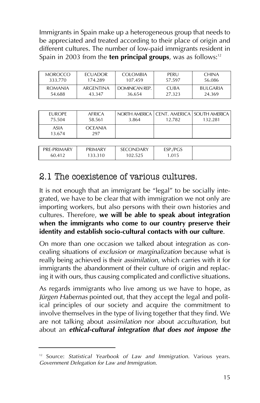Immigrants in Spain make up a heterogeneous group that needs to be appreciated and treated according to their place of origin and different cultures. The number of low-paid immigrants resident in Spain in 2003 from the **ten principal groups**, was as follows:<sup>12</sup>

| MOROCCO. | <b>ECUADOR</b> | <b>COLOMBIA</b> | PERU        | <b>CHINA</b>    |
|----------|----------------|-----------------|-------------|-----------------|
| 333.770  | 174.289        | 107.459         | 57.597      | 56.086          |
| ROMANIA  | ARGENTINA      | DOMINICAN RFP.  | <b>CUBA</b> | <b>BULGARIA</b> |
| 54.688   | 43.347         | 36.654          | 27.323      | 24.369          |

| <b>FUROPE</b><br>75.504 | AFRICA<br>58.561      | 3.864 | 12.782 | NORTH AMERICA   CENT, AMERICA   SOUTH AMERICA  <br>132.281 |
|-------------------------|-----------------------|-------|--------|------------------------------------------------------------|
| <b>ASIA</b><br>13.674   | <b>OCEANIA</b><br>297 |       |        |                                                            |

| PRE-PRIMARY<br>60.412 | PRIMARY<br>33.310 | <b>DNDARY</b><br>SF (<br>02.525 | ESP./PGS<br>.015 |  |
|-----------------------|-------------------|---------------------------------|------------------|--|
|                       |                   |                                 |                  |  |

### 2.1 The coexistence of various cultures.

It is not enough that an immigrant be "legal" to be socially integrated, we have to be clear that with immigration we not only are importing workers, but also persons with their own histories and cultures. Therefore, **we will be able to speak about integration when the immigrants who come to our country preserve their identity and establish socio-cultural contacts with our culture**.

On more than one occasion we talked about integration as concealing situations of *exclusion* or *marginalization* because what is really being achieved is their *assimilation*, which carries with it for immigrants the abandonment of their culture of origin and replacing it with ours, thus causing complicated and conflictive situations.

As regards immigrants who live among us we have to hope, as Jürgen Habernas pointed out, that they accept the legal and political principles of our society and acquire the commitment to involve themselves in the type of living together that they find. We are not talking about *assimilation* nor about *acculturation*, but about an *ethical-cultural integration that does not impose the*

<sup>12</sup> Source: *Statistical Yearbook of Law and Immigration*. Various years. *Government Delegation for Law and Immigration*.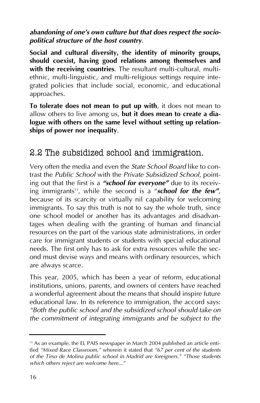### *abandoning of one's own culture but that does respect the sociopolitical structure of the host country*.

**Social and cultural diversity, the identity of minority groups, should coexist, having good relations among themselves and with the receiving countries**. The resultant multi-cultural, multiethnic, multi-linguistic, and multi-religious settings require integrated policies that include social, economic, and educational approaches.

**To tolerate does not mean to put up with**, it does not mean to allow others to live among us, **but it does mean to create a dialogue with others on the same level without setting up relationships of power nor inequality**.

### 2.2 The subsidized school and immigration.

Very often the media and even the *State School Board* like to contrast the *Public School* with the *Private Subsidized School*, pointing out that the first is a "**school for everyone**" due to its receiving immigrants<sup>13</sup>, while the second is a "**school for the few"**, because of its scarcity or virtually nil capability for welcoming immigrants. To say this truth is not to say the whole truth, since one school model or another has its advantages and disadvantages when dealing with the granting of human and financial resources on the part of the various state administrations, in order care for immigrant students or students with special educational needs. The first only has to ask for extra resources while the second must devise ways and means with ordinary resources, which are always scarce.

This year, 2005, which has been a year of reform, educational institutions, unions, parents, and owners of centers have reached a wonderful agreement about the means that should inspire future educational law. In its reference to immigration, the accord says: *ìBoth the public school and the subsidized school should take on the commitment of integrating immigrants and be subject to the*

<sup>&</sup>lt;sup>13</sup> As an example, the EL PAIS newspaper in March 2004 published an article entitled "Mixed Race Classroom," wherein it stated that "67 per cent of the students *of the Tirso de Molina public school in Madrid are foreigners." "Those students* which others reject are welcome here...<sup>"</sup>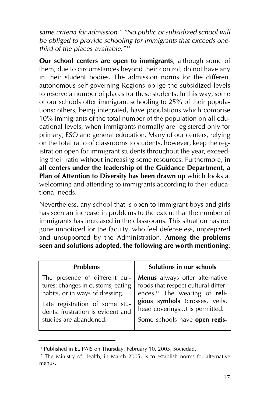same criteria for admission." "No public or subsidized school will *be obliged to provide schooling for immigrants that exceeds one*third of the places available.<sup>*"*14</sup>

**Our school centers are open to immigrants**, although some of them, due to circumstances beyond their control, do not have any in their student bodies. The admission norms for the different autonomous self-governing Regions oblige the subsidized levels to reserve a number of places for these students. In this way, some of our schools offer immigrant schooling to 25% of their populations; others, being integrated, have populations which comprise 10% immigrants of the total number of the population on all educational levels, when immigrants normally are registered only for primary, ESO and general education. Many of our centers, relying on the total ratio of classrooms to students, however, keep the registration open for immigrant students throughout the year, exceeding their ratio without increasing some resources. Furthermore, **in all centers under the leadership of the Guidance Department, a Plan of Attention to Diversity has been drawn up** which looks at welcoming and attending to immigrants according to their educational needs.

Nevertheless, any school that is open to immigrant boys and girls has seen an increase in problems to the extent that the number of immigrants has increased in the classrooms. This situation has not gone unnoticed for the faculty, who feel defenseless, unprepared and unsupported by the Administration. **Among the problems seen and solutions adopted, the following are worth mentioning**:

| <b>Problems</b>                                                                                                                                                                                         | Solutions in our schools                                                                                                                                                                                               |
|---------------------------------------------------------------------------------------------------------------------------------------------------------------------------------------------------------|------------------------------------------------------------------------------------------------------------------------------------------------------------------------------------------------------------------------|
| The presence of different cul-<br>tures: changes in customs, eating<br>habits, or in ways of dressing.<br>Late registration of some stu-<br>dents: frustration is evident and<br>studies are abandoned. | Menus always offer alternative<br>foods that respect cultural differ-<br>ences. <sup>15</sup> The wearing of reli-<br>gious symbols (crosses, veils,<br>head coverings) is permitted.<br>Some schools have open regis- |
|                                                                                                                                                                                                         |                                                                                                                                                                                                                        |

<sup>&</sup>lt;sup>14</sup> Published in EL PAIS on Thursday, February 10, 2005, Sociedad.

<sup>&</sup>lt;sup>15</sup> The Ministry of Health, in March 2005, is to establish norms for alternative menus.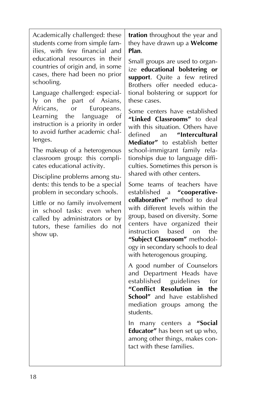Academically challenged: these students come from simple families, with few financial and educational resources in their countries of origin and, in some cases, there had been no prior schooling.

Language challenged: especially on the part of Asians, Africans, or Europeans. Learning the language of instruction is a priority in order to avoid further academic challenges.

The makeup of a heterogenous classroom group: this complicates educational activity.

Discipline problems among students: this tends to be a special problem in secondary schools.

Little or no family involvement in school tasks: even when called by administrators or by tutors, these families do not show up.

**tration** throughout the year and they have drawn up a **Welcome Plan**.

Small groups are used to organize **educational bolstering or support**. Quite a few retired Brothers offer needed educational bolstering or support for these cases.

Some centers have established "Linked Classrooms" to deal with this situation. Others have defined an **"Intercultural Mediatorî** to establish better school-immigrant family relationships due to language difficulties. Sometimes this person is shared with other centers.

Some teams of teachers have established a "cooperative**collaborativeî** method to deal with different levels within the group, based on diversity. Some centers have organized their<br>instruction based on the instruction based on the "Subject Classroom" methodology in secondary schools to deal with heterogenous grouping.

A good number of Counselors and Department Heads have established guidelines for **ìConflict Resolution in the School<sup>"</sup>** and have established mediation groups among the students.

In many centers a "Social **Educator**<sup>*n*</sup> has been set up who, among other things, makes contact with these families.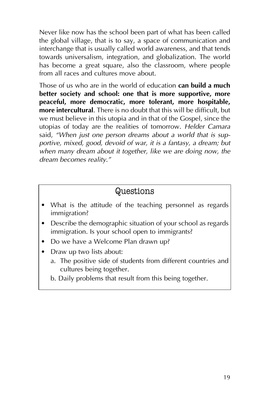Never like now has the school been part of what has been called the global village, that is to say, a space of communication and interchange that is usually called world awareness, and that tends towards universalism, integration, and globalization. The world has become a great square, also the classroom, where people from all races and cultures move about.

Those of us who are in the world of education **can build a much better society and school: one that is more supportive, more peaceful, more democratic, more tolerant, more hospitable, more intercultural**. There is no doubt that this will be difficult, but we must believe in this utopia and in that of the Gospel, since the utopias of today are the realities of tomorrow. *Helder Camara* said, "When just one person dreams about a world that is sup*portive, mixed, good, devoid of war, it is a fantasy, a dream; but when many dream about it together, like we are doing now, the* dream becomes reality.<sup>"</sup>

### Questions

- What is the attitude of the teaching personnel as regards immigration?
- Describe the demographic situation of your school as regards immigration. Is your school open to immigrants?
- Do we have a Welcome Plan drawn up?
- Draw up two lists about:
	- a. The positive side of students from different countries and cultures being together.
	- b. Daily problems that result from this being together.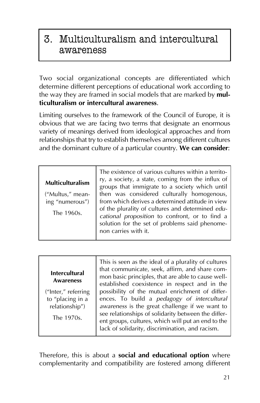# 3. Multiculturalism and intercultural awareness

Two social organizational concepts are differentiated which determine different perceptions of educational work according to the way they are framed in social models that are marked by **multiculturalism or intercultural awareness**.

Limiting ourselves to the framework of the Council of Europe, it is obvious that we are facing two terms that designate an enormous variety of meanings derived from ideological approaches and from relationships that try to establish themselves among different cultures and the dominant culture of a particular country. **We can consider**:

| <b>Multiculturalism</b><br>("Multus," mean-<br>ing "numerous")<br>The 1960s. | The existence of various cultures within a territo-<br>ry, a society, a state, coming from the influx of<br>groups that immigrate to a society which until<br>then was considered culturally homogenous,<br>from which derives a determined attitude in view<br>of the plurality of cultures and determined edu-<br>cational proposition to confront, or to find a<br>solution for the set of problems said phenome-<br>non carries with it. |
|------------------------------------------------------------------------------|----------------------------------------------------------------------------------------------------------------------------------------------------------------------------------------------------------------------------------------------------------------------------------------------------------------------------------------------------------------------------------------------------------------------------------------------|
|------------------------------------------------------------------------------|----------------------------------------------------------------------------------------------------------------------------------------------------------------------------------------------------------------------------------------------------------------------------------------------------------------------------------------------------------------------------------------------------------------------------------------------|

#### **Intercultural Awareness**

("Inter," referring to "placing in a relationship")

The 1970s.

This is seen as the ideal of a plurality of cultures that communicate, seek, affirm, and share common basic principles, that are able to cause wellestablished coexistence in respect and in the possibility of the mutual enrichment of differences. To build a *pedagogy of intercultural awareness* is the great challenge if we want to see relationships of solidarity between the different groups, cultures, which will put an end to the lack of solidarity, discrimination, and racism.

Therefore, this is about a **social and educational option** where complementarity and compatibility are fostered among different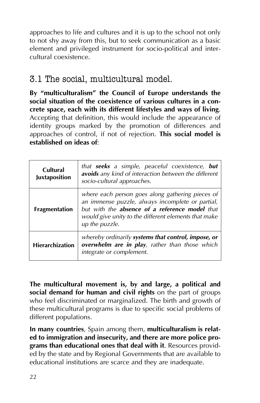approaches to life and cultures and it is up to the school not only to not shy away from this, but to seek communication as a basic element and privileged instrument for socio-political and intercultural coexistence.

### 3.1 The social, multicultural model.

By "multiculturalism" the Council of Europe understands the **social situation of the coexistence of various cultures in a concrete space, each with its different lifestyles and ways of living**. Accepting that definition, this would include the appearance of identity groups marked by the promotion of differences and approaches of control, if not of rejection. **This social model is established on ideas of**:

| Cultural<br><b>Juxtaposition</b> | that <b>seeks</b> a simple, peaceful coexistence, <b>but</b><br>avoids any kind of interaction between the different<br>socio-cultural approaches.                                                                               |
|----------------------------------|----------------------------------------------------------------------------------------------------------------------------------------------------------------------------------------------------------------------------------|
| <b>Fragmentation</b>             | where each person goes along gathering pieces of<br>an immense puzzle, always incomplete or partial,<br>but with the absence of a reference model that<br>would give unity to the different elements that make<br>up the puzzle. |
| <b>Hierarchization</b>           | whereby ordinarily systems that control, impose, or<br>overwhelm are in play, rather than those which<br>integrate or complement.                                                                                                |

**The multicultural movement is, by and large, a political and social demand for human and civil rights** on the part of groups who feel discriminated or marginalized. The birth and growth of these multicultural programs is due to specific social problems of different populations.

**In many countries**, Spain among them, **multiculturalism is related to immigration and insecurity, and there are more police programs than educational ones that deal with it**. Resources provided by the state and by Regional Governments that are available to educational institutions are scarce and they are inadequate.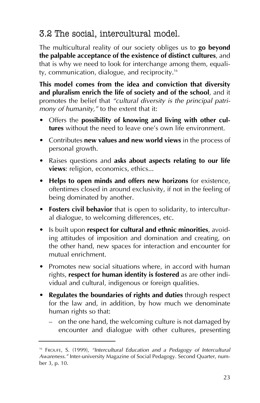### 3.2 The social, intercultural model.

The multicultural reality of our society obliges us to **go beyond the palpable acceptance of the existence of distinct cultures**, and that is why we need to look for interchange among them, equality, communication, dialogue, and reciprocity.16

**This model comes from the idea and conviction that diversity and pluralism enrich the life of society and of the school**, and it promotes the belief that "cultural diversity is the principal patri*mony of humanity,"* to the extent that it:

- Offers the **possibility of knowing and living with other cultures** without the need to leave one's own life environment.
- **Contributes new values and new world views** in the process of personal growth.
- Raises questions and **asks about aspects relating to our life views**: religion, economics, ethics...
- **Helps to open minds and offers new horizons** for existence, oftentimes closed in around exclusivity, if not in the feeling of being dominated by another.
- **Fosters civil behavior** that is open to solidarity, to intercultural dialogue, to welcoming differences, etc.
- **•** Is built upon **respect for cultural and ethnic minorities**, avoiding attitudes of imposition and domination and creating, on the other hand, new spaces for interaction and encounter for mutual enrichment.
- Promotes new social situations where, in accord with human rights, **respect for human identity is fostered** as are other individual and cultural, indigenous or foreign qualities.
- **Regulates the boundaries of rights and duties** through respect for the law and, in addition, by how much we denominate human rights so that:
	- $\overline{a}$  on the one hand, the welcoming culture is not damaged by encounter and dialogue with other cultures, presenting

<sup>&</sup>lt;sup>16</sup> FROUFE, S. (1999), "Intercultural Education and a Pedagogy of Intercultural *Awareness.î* Inter-university Magazine of Social Pedagogy. Second Quarter, number 3, p. 10.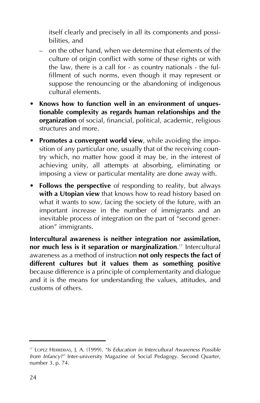itself clearly and precisely in all its components and possibilities, and

- $\overline{a}$  on the other hand, when we determine that elements of the culture of origin conflict with some of these rights or with the law, there is a call for - as country nationals - the fulfillment of such norms, even though it may represent or suppose the renouncing or the abandoning of indigenous cultural elements.
- Knows how to function well in an environment of unques**tionable complexity as regards human relationships and the organization** of social, financial, political, academic, religious structures and more.
- **Promotes a convergent world view**, while avoiding the imposition of any particular one, usually that of the receiving country which, no matter how good it may be, in the interest of achieving unity, all attempts at absorbing, eliminating or imposing a view or particular mentality are done away with.
- **Follows the perspective** of responding to reality, but always **with a Utopian view** that knows how to read history based on what it wants to sow, facing the society of the future, with an important increase in the number of immigrants and an inevitable process of integration on the part of "second generation" immigrants.

**Intercultural awareness is neither integration nor assimilation, nor much less is it separation or marginalization**. <sup>17</sup> Intercultural awareness as a method of instruction **not only respects the fact of different cultures but it values them as something positive** because difference is a principle of complementarity and dialogue and it is the means for understanding the values, attitudes, and customs of others.

<sup>&</sup>lt;sup>17</sup> LOPEZ HERRERIAS, J. A. (1999). "Is Education in Intercultural Awareness Possible *from Infancy?î* Inter-university Magazine of Social Pedagogy. Second Quarter, number 3, p. 74.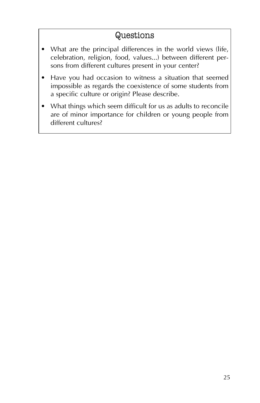### Questions

- What are the principal differences in the world views (life, celebration, religion, food, values...) between different persons from different cultures present in your center?
- Have you had occasion to witness a situation that seemed impossible as regards the coexistence of some students from a specific culture or origin? Please describe.
- What things which seem difficult for us as adults to reconcile are of minor importance for children or young people from different cultures?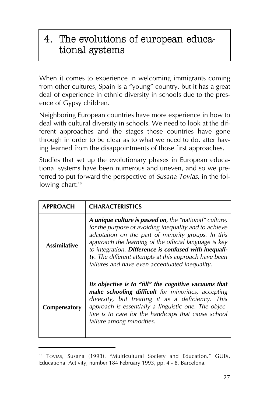# 4. The evolutions of european educational systems

When it comes to experience in welcoming immigrants coming from other cultures, Spain is a "young" country, but it has a great deal of experience in ethnic diversity in schools due to the presence of Gypsy children.

Neighboring European countries have more experience in how to deal with cultural diversity in schools. We need to look at the different approaches and the stages those countries have gone through in order to be clear as to what we need to do, after having learned from the disappointments of those first approaches.

Studies that set up the evolutionary phases in European educational systems have been numerous and uneven, and so we preferred to put forward the perspective of *Susana Tovías*, in the following chart:<sup>18</sup>

| <b>APPROACH</b>     | <b>CHARACTERISTICS</b>                                                                                                                                                                                                                                                                                                                                                                             |
|---------------------|----------------------------------------------------------------------------------------------------------------------------------------------------------------------------------------------------------------------------------------------------------------------------------------------------------------------------------------------------------------------------------------------------|
| <b>Assimilative</b> | A unique culture is passed on, the "national" culture,<br>for the purpose of avoiding inequality and to achieve<br>adaptation on the part of minority groups. In this<br>approach the learning of the official language is key<br>to integration. Difference is confused with inequali-<br>ty. The different attempts at this approach have been<br>failures and have even accentuated inequality. |
| Compensatory        | Its objective is to "fill" the cognitive vacuums that<br>make schooling difficult for minorities, accepting<br>diversity, but treating it as a deficiency. This<br>approach is essentially a linguistic one. The objec-<br>tive is to care for the handicaps that cause school<br>failure among minorities.                                                                                        |

<sup>&</sup>lt;sup>18</sup> TOVIAS, Susana (1993). "Multicultural Society and Education." GUIX, Educational Activity, number 184 February 1993, pp. 4 - 8, Barcelona.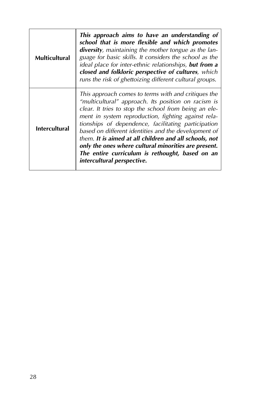| <b>Multicultural</b> | This approach aims to have an understanding of<br>school that is more flexible and which promotes<br>diversity, maintaining the mother tongue as the lan-<br>guage for basic skills. It considers the school as the<br>ideal place for inter-ethnic relationships, but from a<br>closed and folkloric perspective of cultures, which<br>runs the risk of ghettoizing different cultural groups.                                                                                                                                              |
|----------------------|----------------------------------------------------------------------------------------------------------------------------------------------------------------------------------------------------------------------------------------------------------------------------------------------------------------------------------------------------------------------------------------------------------------------------------------------------------------------------------------------------------------------------------------------|
| <b>Intercultural</b> | This approach comes to terms with and critiques the<br>"multicultural" approach. Its position on racism is<br>clear. It tries to stop the school from being an ele-<br>ment in system reproduction, fighting against rela-<br>tionships of dependence, facilitating participation<br>based on different identities and the development of<br>them. It is aimed at all children and all schools, not<br>only the ones where cultural minorities are present.<br>The entire curriculum is rethought, based on an<br>intercultural perspective. |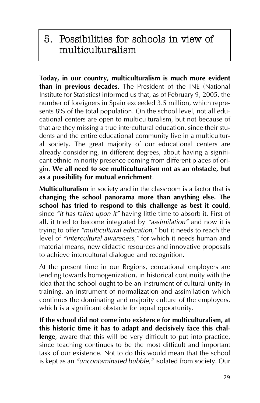# 5. Possibilities for schools in view of multiculturalism

**Today, in our country, multiculturalism is much more evident than in previous decades**. The President of the INE (National Institute for Statistics) informed us that, as of February 9, 2005, the number of foreigners in Spain exceeded 3.5 million, which represents 8% of the total population. On the school level, not all educational centers are open to multiculturalism, but not because of that are they missing a true intercultural education, since their students and the entire educational community live in a multicultural society. The great majority of our educational centers are already considering, in different degrees, about having a significant ethnic minority presence coming from different places of origin. **We all need to see multiculturalism not as an obstacle, but as a possibility for mutual enrichment**.

**Multiculturalism** in society and in the classroom is a factor that is **changing the school panorama more than anything else. The school has tried to respond to this challenge as best it could**, since "it has fallen upon it" having little time to absorb it. First of all, it tried to become integrated by "assimilation" and now it is trying to offer "multicultural education," but it needs to reach the level of "intercultural awareness," for which it needs human and material means, new didactic resources and innovative proposals to achieve intercultural dialogue and recognition.

At the present time in our Regions, educational employers are tending towards homogenization, in historical continuity with the idea that the school ought to be an instrument of cultural unity in training, an instrument of normalization and assimilation which continues the dominating and majority culture of the employers, which is a significant obstacle for equal opportunity.

**If the school did not come into existence for multiculturalism, at this historic time it has to adapt and decisively face this challenge**, aware that this will be very difficult to put into practice, since teaching continues to be the most difficult and important task of our existence. Not to do this would mean that the school is kept as an "uncontaminated bubble," isolated from society. Our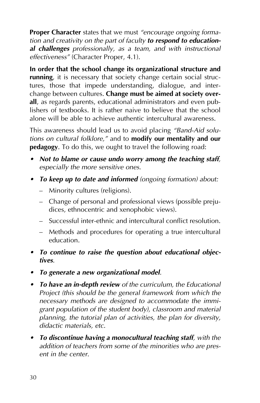**Proper Character** states that we must "encourage ongoing forma*tion and creativity on the part of faculty to respond to educational challenges professionally, as a team, and with instructional effectiveness<sup>"</sup>* (Character Proper, 4.1).

**In order that the school change its organizational structure and running**, it is necessary that society change certain social structures, those that impede understanding, dialogue, and interchange between cultures. **Change must be aimed at society overall**, as regards parents, educational administrators and even publishers of textbooks. It is rather naive to believe that the school alone will be able to achieve authentic intercultural awareness.

This awareness should lead us to avoid placing "Band-Aid solu*tions on cultural folklore,î* and to **modify our mentality and our pedagogy**. To do this, we ought to travel the following road:

- *ï Not to blame or cause undo worry among the teaching staff, especially the more sensitive ones.*
- *ï To keep up to date and informed (ongoing formation) about:*
	- Minority cultures (religions).
	- Change of personal and professional views (possible prejudices, ethnocentric and xenophobic views).
	- $S$  Successful inter-ethnic and intercultural conflict resolution.
	- Methods and procedures for operating a true intercultural education.
- To continue to raise the question about educational objec*tives.*
- *ï To generate a new organizational model.*
- *ï To have an in-depth review of the curriculum, the Educational Project (this should be the general framework from which the necessary methods are designed to accommodate the immigrant population of the student body), classroom and material planning, the tutorial plan of activities, the plan for diversity, didactic materials, etc.*
- *ï To discontinue having a monocultural teaching staff, with the addition of teachers from some of the minorities who are present in the center.*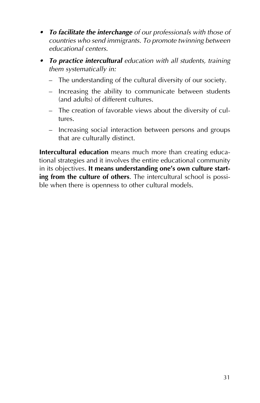- *ï To facilitate the interchange of our professionals with those of countries who send immigrants. To promote twinning between educational centers.*
- *ï To practice intercultural education with all students, training them systematically in:*
	- The understanding of the cultural diversity of our society.
	- $\overline{a}$  Increasing the ability to communicate between students (and adults) of different cultures.
	- The creation of favorable views about the diversity of cultures.
	- Increasing social interaction between persons and groups that are culturally distinct.

**Intercultural education** means much more than creating educational strategies and it involves the entire educational community in its objectives. **It means understanding one's own culture starting from the culture of others**. The intercultural school is possible when there is openness to other cultural models.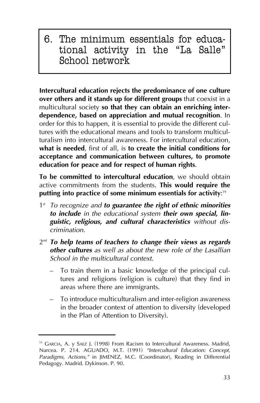6. The minimum essentials for educational activity in the "La Salle" School network

**Intercultural education rejects the predominance of one culture over others and it stands up for different groups** that coexist in a multicultural society **so that they can obtain an enriching interdependence, based on appreciation and mutual recognition**. In order for this to happen, it is essential to provide the different cultures with the educational means and tools to transform multiculturalism into intercultural awareness. For intercultural education, **what is needed**, first of all, is **to create the initial conditions for acceptance and communication between cultures, to promote education for peace and for respect of human rights**.

**To be committed to intercultural education**, we should obtain active commitments from the students. **This would require the putting into practice of some minimum essentials for activity**: 19

- 1st *To recognize and to guarantee the right of ethnic minorities to include in the educational system their own special, linguistic, religious, and cultural characteristics without discrimination.*
- $2<sup>nd</sup>$  *To help teams of teachers to change their views as regards other cultures as well as about the new role of the Lasallian School in the multicultural context.*
	- To train them in a basic knowledge of the principal cultures and religions (religion is culture) that they find in areas where there are immigrants.
	- To introduce multiculturalism and inter-religion awareness in the broader context of attention to diversity (developed in the Plan of Attention to Diversity).

<sup>&</sup>lt;sup>19</sup> GARCIA, A. y SAEZ J. (1998) From Racism to Intercultural Awareness. Madrid, Narcea. P. 214. AGUADO, M.T. (1991) "Intercultural Education: Concept, Paradigms, Actions," in JIMENEZ, M.C. (Coordinator), Reading in Differential Pedagogy. Madrid. Dykinson. P. 90.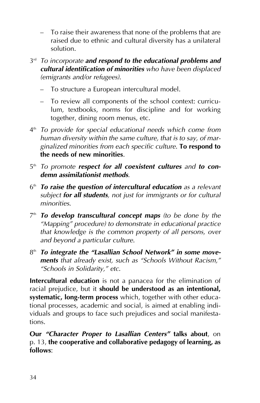- To raise their awareness that none of the problems that are raised due to ethnic and cultural diversity has a unilateral solution.
- $3<sup>rd</sup>$  *To incorporate and respond to the educational problems and cultural identification of minorities who have been displaced (emigrants and/or refugees)*.
	- To structure a European intercultural model.
	- To review all components of the school context: curriculum, textbooks, norms for discipline and for working together, dining room menus, etc.
- 4th *To provide for special educational needs which come from human diversity within the same culture, that is to say, of marginalized minorities from each specific culture*. **To respond to the needs of new minorities**.
- 5<sup>th</sup> *To promote respect for all coexistent cultures and to condemn assimilationist methods*.
- 6th *To raise the question of intercultural education as a relevant subject for all students, not just for immigrants or for cultural minorities*.
- 7th *To develop transcultural concept maps (to be done by the ìMappingî procedure) to demonstrate in educational practice that knowledge is the common property of all persons, over and beyond a particular culture*.
- 8<sup>th</sup> To integrate the "Lasallian School Network" in some move*ments* that already exist, such as "Schools Without Racism," *ìSchools in Solidarity,î etc*.

**Intercultural education** is not a panacea for the elimination of racial prejudice, but it **should be understood as an intentional, systematic, long-term process** which, together with other educational processes, academic and social, is aimed at enabling individuals and groups to face such prejudices and social manifestations.

**Our** *ìCharacter Proper to Lasallian Centersî* **talks about**, on p. 13, **the cooperative and collaborative pedagogy of learning, as follows**: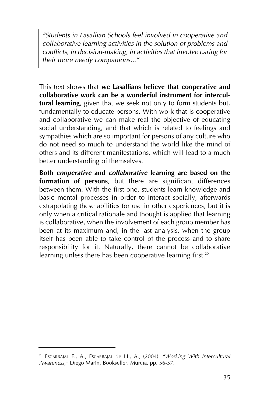*ìStudents in Lasallian Schools feel involved in cooperative and collaborative learning activities in the solution of problems and conflicts, in decision-making, in activities that involve caring for* their more needy companions...<sup>*"*</sup>

This text shows that **we Lasallians believe that cooperative and collaborative work can be a wonderful instrument for intercultural learning**, given that we seek not only to form students but, fundamentally to educate persons. With work that is cooperative and collaborative we can make real the objective of educating social understanding, and that which is related to feelings and sympathies which are so important for persons of any culture who do not need so much to understand the world like the mind of others and its different manifestations, which will lead to a much better understanding of themselves.

**Both** *cooperative* **and** *collaborative* **learning are based on the formation of persons**, but there are significant differences between them. With the first one, students learn knowledge and basic mental processes in order to interact socially, afterwards extrapolating these abilities for use in other experiences, but it is only when a critical rationale and thought is applied that learning is collaborative, when the involvement of each group member has been at its maximum and, in the last analysis, when the group itself has been able to take control of the process and to share responsibility for it. Naturally, there cannot be collaborative learning unless there has been cooperative learning first.<sup>20</sup>

<sup>&</sup>lt;sup>20</sup> ESCARBAJAL F., A., ESCARBAJAL de H., A., (2004). "Working With Intercultural Awareness," Diego Marín, Bookseller. Murcia, pp. 56-57.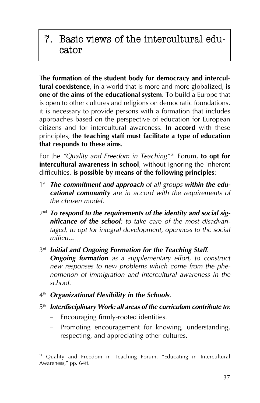## 7. Basic views of the intercultural educator

**The formation of the student body for democracy and intercultural coexistence**, in a world that is more and more globalized, **is one of the aims of the educational system**. To build a Europe that is open to other cultures and religions on democratic foundations, it is necessary to provide persons with a formation that includes approaches based on the perspective of education for European citizens and for intercultural awareness. **In accord** with these principles, **the teaching staff must facilitate a type of education that responds to these aims**.

For the "Quality and Freedom in Teaching<sup>"21</sup> Forum, **to opt for intercultural awareness in school**, without ignoring the inherent difficulties, **is possible by means of the following principles**:

- 1<sup>st</sup> The commitment and approach of all groups within the edu*cational community are in accord with the requirements of the chosen model.*
- 2<sup>nd</sup> To respond to the requirements of the identity and social sig*nificance of the school: to take care of the most disadvantaged, to opt for integral development, openness to the social milieu...*
- $3<sup>rd</sup>$  *Initial and Ongoing Formation for the Teaching Staff. Ongoing formation as a supplementary effort, to construct new responses to new problems which come from the phenomenon of immigration and intercultural awareness in the school.*
- 4th *Organizational Flexibility in the Schools.*
- 5th *Interdisciplinary Work: all areas of the curriculum contribute to:*
	- Encouraging firmly-rooted identities.
	- Promoting encouragement for knowing, understanding, respecting, and appreciating other cultures.

<sup>&</sup>lt;sup>21</sup> Quality and Freedom in Teaching Forum, "Educating in Intercultural Awareness," pp. 64ff.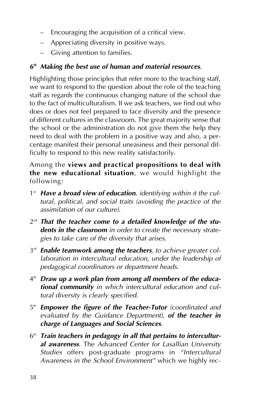- $-$  Encouraging the acquisition of a critical view.
- $\overline{a}$  Appreciating diversity in positive ways.
- $-$  Giving attention to families.

### *6th Making the best use of human and material resources*.

Highlighting those principles that refer more to the teaching staff, we want to respond to the question about the role of the teaching staff as regards the continuous changing nature of the school due to the fact of multiculturalism. If we ask teachers, we find out who does or does not feel prepared to face diversity and the presence of different cultures in the classroom. The great majority sense that the school or the administration do not give them the help they need to deal with the problem in a positive way and also, a percentage manifest their personal uneasiness and their personal difficulty to respond to this new reality satisfactorily.

Among the **views and practical propositions to deal with the new educational situation**, we would highlight the following:

- 1<sup>st</sup> Have a broad view of education, identifying within it the cul*tural, political, and social traits (avoiding the practice of the assimilation of our culture)*.
- 2<sup>nd</sup> That the teacher come to a detailed knowledge of the stu*dents in the classroom in order to create the necessary strategies to take care of the diversity that arises*.
- 3rd *Enable teamwork among the teachers, to achieve greater collaboration in intercultural education, under the leadership of pedagogical coordinators or department heads*.
- 4th *Draw up a work plan from among all members of the educational community in which intercultural education and cultural diversity is clearly specified*.
- 5th *Empower the figure of the Teacher-Tutor (coordinated and evaluated by the Guidance Department), of the teacher in charge of Languages and Social Sciences*.
- 6th *Train teachers in pedagogy in all that pertains to intercultural awareness*. The *Advanced Center for Lasallian University Studies* offers post-graduate programs in "Intercultural Awareness in the School Environment" which we highly rec-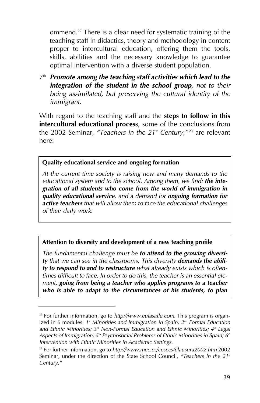ommend.<sup>22</sup> There is a clear need for systematic training of the teaching staff in didactics, theory and methodology in content proper to intercultural education, offering them the tools, skills, abilities and the necessary knowledge to guarantee optimal intervention with a diverse student population.

7th *Promote among the teaching staff activities which lead to the integration of the student in the school group, not to their being assimilated, but preserving the cultural identity of the immigrant.*

With regard to the teaching staff and the **steps to follow in this intercultural educational process**, some of the conclusions from the 2002 Seminar, "Teachers in the 21<sup>st</sup> Century,"<sup>23</sup> are relevant here:

#### **Quality educational service and ongoing formation**

*At the current time society is raising new and many demands to the educational system and to the school. Among them, we find: the integration of all students who come from the world of immigration in quality educational service, and a demand for ongoing formation for active teachers that will allow them to face the educational challenges of their daily work.*

#### **Attention to diversity and development of a new teaching profile**

*The fundamental challenge must be to attend to the growing diversity that we can see in the classrooms. This diversity demands the ability to respond to and to restructure what already exists which is oftentimes difficult to face. In order to do this, the teacher is an essential element, going from being a teacher who applies programs to a teacher who is able to adapt to the circumstances of his students, to plan*

<sup>22</sup> For further information, go to *http://www.eulasalle.com*. This program is organized in 6 modules: *1st Minorities and Immigration in Spain; 2nd Formal Education and Ethnic Minorities; 3rd Non-Formal Education and Ethnic Minorities; 4th Legal Aspects of Immigration; 5th Psychosocial Problems of Ethnic Minorities in Spain; 6th Intervention with Ethnic Minorities in Academic Settings*.

<sup>23</sup> For further information, go to *http://www.mec.es/cesces/clausura2002.htm* 2002 Seminar, under the direction of the State School Council, "Teachers in the 21st *Century.î*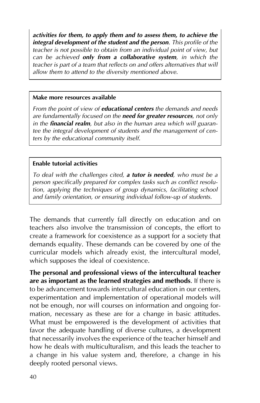*activities for them, to apply them and to assess them, to achieve the integral development of the student and the person. This profile of the teacher is not possible to obtain from an individual point of view, but can be achieved only from a collaborative system, in which the teacher is part of a team that reflects on and offers alternatives that will allow them to attend to the diversity mentioned above.*

#### **Make more resources available**

*From the point of view of educational centers the demands and needs are fundamentally focused on the need for greater resources, not only in the financial realm, but also in the human area which will guarantee the integral development of students and the management of centers by the educational community itself.*

#### **Enable tutorial activities**

*To deal with the challenges cited, a tutor is needed, who must be a person specifically prepared for complex tasks such as conflict resolution, applying the techniques of group dynamics, facilitating school and family orientation, or ensuring individual follow-up of students.*

The demands that currently fall directly on education and on teachers also involve the transmission of concepts, the effort to create a framework for coexistence as a support for a society that demands equality. These demands can be covered by one of the curricular models which already exist, the intercultural model, which supposes the ideal of coexistence.

**The personal and professional views of the intercultural teacher are as important as the learned strategies and methods**. If there is to be advancement towards intercultural education in our centers, experimentation and implementation of operational models will not be enough, nor will courses on information and ongoing formation, necessary as these are for a change in basic attitudes. What must be empowered is the development of activities that favor the adequate handling of diverse cultures, a development that necessarily involves the experience of the teacher himself and how he deals with multiculturalism, and this leads the teacher to a change in his value system and, therefore, a change in his deeply rooted personal views.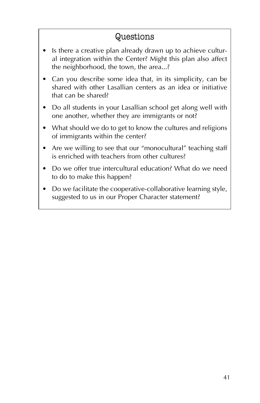### Questions

- Is there a creative plan already drawn up to achieve cultural integration within the Center? Might this plan also affect the neighborhood, the town, the area...?
- Can you describe some idea that, in its simplicity, can be shared with other Lasallian centers as an idea or initiative that can be shared?
- Do all students in your Lasallian school get along well with one another, whether they are immigrants or not?
- What should we do to get to know the cultures and religions of immigrants within the center?
- Are we willing to see that our "monocultural" teaching staff is enriched with teachers from other cultures?
- Do we offer true intercultural education? What do we need to do to make this happen?
- Do we facilitate the cooperative-collaborative learning style, suggested to us in our Proper Character statement?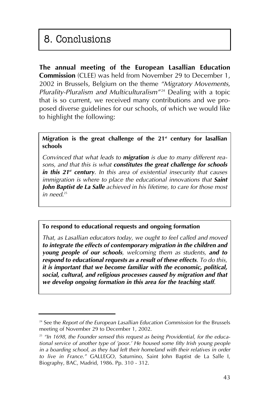# 8. Conclusions

**The annual meeting of the European Lasallian Education Commission** (CLEE) was held from November 29 to December 1, 2002 in Brussels, Belgium on the theme *ìMigratory Movements, Plurality-Pluralism and Multiculturalism<sup>"24</sup>* Dealing with a topic that is so current, we received many contributions and we proposed diverse guidelines for our schools, of which we would like to highlight the following:

**Migration is the great challenge of the 21st century for lasallian schools**

*Convinced that what leads to migration is due to many different reasons, and that this is what constitutes the great challenge for schools in this 21st century. In this area of existential insecurity that causes immigration is where to place the educational innovations that Saint John Baptist de La Salle achieved in his lifetime, to care for those most in need*. 25

#### **To respond to educational requests and ongoing formation**

*That, as Lasallian educators today, we ought to feel called and moved to integrate the effects of contemporary migration in the children and young people of our schools, welcoming them as students, and to respond to educational requests as a result of these effects. To do this, it is important that we become familiar with the economic, political, social, cultural, and religious processes caused by migration and that we develop ongoing formation in this area for the teaching staff.*

<sup>24</sup> See the *Report of the European Lasallian Education Commission* for the Brussels meeting of November 29 to December 1, 2002.

<sup>&</sup>lt;sup>25</sup> "In 1698, the Founder sensed this request as being Providential, for the educa*tional service of another type of 'poor.' He housed some fifty Irish young people in a boarding school, as they had left their homeland with their relatives in order to live in France.î* GALLEGO, Saturnino, Saint John Baptist de La Salle I, Biography, BAC, Madrid, 1986. Pp. 310 - 312.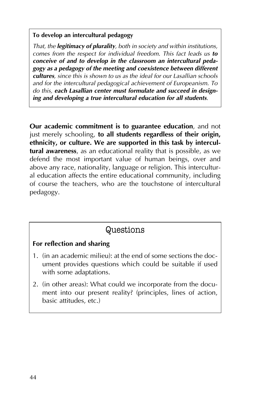#### **To develop an intercultural pedagogy**

*That, the legitimacy of plurality, both in society and within institutions, comes from the respect for individual freedom. This fact leads us to conceive of and to develop in the classroom an intercultural pedagogy as a pedagogy of the meeting and coexistence between different cultures, since this is shown to us as the ideal for our Lasallian schools and for the intercultural pedagogical achievement of Europeanism. To do this, each Lasallian center must formulate and succeed in designing and developing a true intercultural education for all students.*

**Our academic commitment is to guarantee education**, and not just merely schooling, **to all students regardless of their origin, ethnicity, or culture. We are supported in this task by intercultural awareness**, as an educational reality that is possible, as we defend the most important value of human beings, over and above any race, nationality, language or religion. This intercultural education affects the entire educational community, including of course the teachers, who are the touchstone of intercultural pedagogy.

### Questions

### **For reflection and sharing**

- 1. (in an academic milieu): at the end of some sections the document provides questions which could be suitable if used with some adaptations.
- 2. (in other areas): What could we incorporate from the document into our present reality? (principles, lines of action, basic attitudes, etc.)